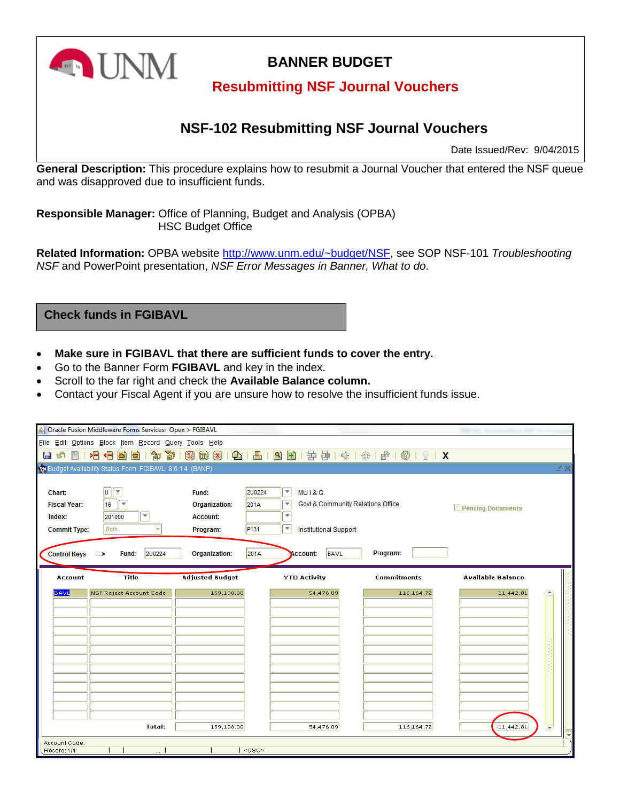

# **BANNER BUDGET**

### **Resubmitting NSF Journal Vouchers**

## **NSF-102 Resubmitting NSF Journal Vouchers**

Date Issued/Rev: 9/04/2015

**General Description:** This procedure explains how to resubmit a Journal Voucher that entered the NSF queue and was disapproved due to insufficient funds.

**Responsible Manager:** Office of Planning, Budget and Analysis (OPBA) HSC Budget Office

**Related Information:** OPBA website http://www.unm.edu/~budget/NSF, see SOP NSF-101 *Troubleshooting NSF* and PowerPoint presentation, *NSF Error Messages in Banner, What to do*.

**Check funds in FGIBAVL**

- **Make sure in FGIBAVL that there are sufficient funds to cover the entry.**
- Go to the Banner Form **FGIBAVL** and key in the index.
- Scroll to the far right and check the **Available Balance column.**
- Contact your Fiscal Agent if you are unsure how to resolve the insufficient funds issue.

| Dracle Fusion Middleware Forms Services: Open > FGIBAVL |                                                                         |                                                              |                    |                          |                             |  |  |  |
|---------------------------------------------------------|-------------------------------------------------------------------------|--------------------------------------------------------------|--------------------|--------------------------|-----------------------------|--|--|--|
| File Edit Options Block Item Record Query Tools Help    |                                                                         |                                                              |                    |                          |                             |  |  |  |
| 相相<br>Ð<br>御<br>寄<br>츠<br>n<br>目<br>П                   | P.                                                                      | <b>图图   图   图   图 图   中津   아   余   余   @   ©   ♀   X</b>     |                    |                          |                             |  |  |  |
| Budget Availability Status Form FGIBAVL 8.6.1.4 (BANP)  |                                                                         |                                                              |                    |                          | MΧ                          |  |  |  |
|                                                         |                                                                         |                                                              |                    |                          |                             |  |  |  |
| $\boxed{0}$<br>Chart:                                   | 200224<br>Fund:                                                         | $\lceil - \rceil$<br>MUI&G                                   |                    |                          |                             |  |  |  |
| 16<br>$=$<br><b>Fiscal Year:</b>                        | <b>Organization:</b><br>201A                                            | $\overline{\mathbf{v}}$<br>Govt & Community Relations Office |                    | Pending Documents        |                             |  |  |  |
| 201000<br>Index:                                        | $\overline{\mathbf{v}}$<br>$\vert \, \star \, \vert$<br><b>Account:</b> |                                                              |                    |                          |                             |  |  |  |
| <b>Commit Type:</b><br>Both                             | P <sub>131</sub><br>Program:                                            | F<br><b>Institutional Support</b>                            |                    |                          |                             |  |  |  |
|                                                         |                                                                         |                                                              |                    |                          |                             |  |  |  |
| 200224<br>Fund:<br><b>Control Keys</b><br>- 22          | <b>Organization:</b><br>201A                                            | <b>BAVL</b><br><b>Account:</b>                               | Program:           |                          |                             |  |  |  |
| <b>Title</b><br>Account                                 | <b>Adjusted Budget</b>                                                  | <b>YTD Activity</b>                                          | <b>Commitments</b> | <b>Available Balance</b> |                             |  |  |  |
|                                                         |                                                                         |                                                              |                    |                          |                             |  |  |  |
| <b>BAVL</b><br><b>NSF Reject Account Code</b>           | 159,198.00                                                              | 54,476.09                                                    | 116,164.72         | $-11,442.81$             | $\rightarrow$               |  |  |  |
|                                                         |                                                                         |                                                              |                    |                          |                             |  |  |  |
|                                                         |                                                                         |                                                              |                    |                          |                             |  |  |  |
|                                                         |                                                                         |                                                              |                    |                          |                             |  |  |  |
|                                                         |                                                                         |                                                              |                    |                          |                             |  |  |  |
|                                                         |                                                                         |                                                              |                    |                          |                             |  |  |  |
|                                                         |                                                                         |                                                              |                    |                          |                             |  |  |  |
|                                                         |                                                                         |                                                              |                    |                          |                             |  |  |  |
|                                                         |                                                                         |                                                              |                    |                          |                             |  |  |  |
|                                                         |                                                                         |                                                              |                    |                          |                             |  |  |  |
| <b>Total:</b>                                           | 159,198.00                                                              | 54,476.09                                                    | 116,164.72         | $-11,442.81$             | $\left  \mathbf{v} \right $ |  |  |  |
| Account Code.                                           |                                                                         |                                                              |                    |                          | $\overline{\phantom{a}}$    |  |  |  |
| Record: 1/1<br>                                         | <0SC>                                                                   |                                                              |                    |                          |                             |  |  |  |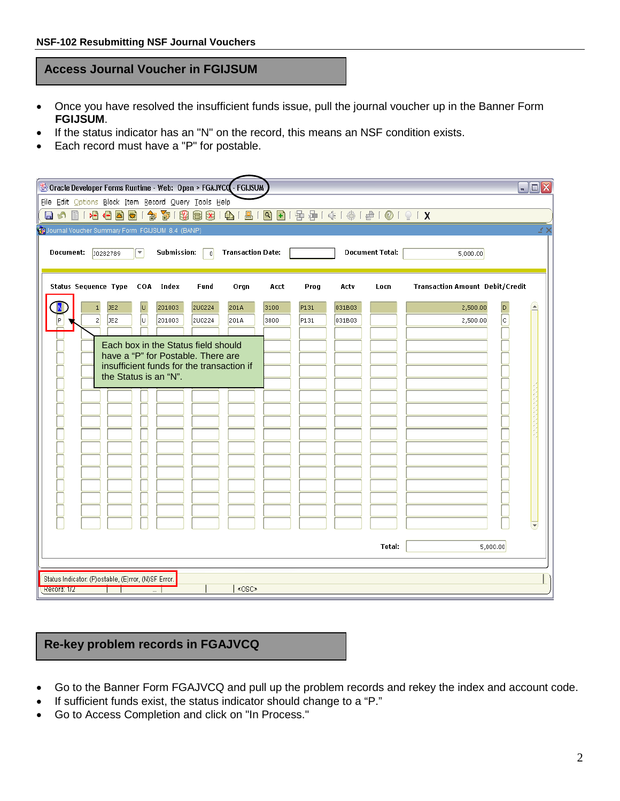#### **Access Journal Voucher in FGIJSUM**

- Once you have resolved the insufficient funds issue, pull the journal voucher up in the Banner Form **FGIJSUM**.
- If the status indicator has an "N" on the record, this means an NSF condition exists.
- Each record must have a "P" for postable.

| <b>Soracle Developer Forms Runtime - Web: Open &gt; FGAJVCQ.- FGIJSUM</b>                                                                       |                       |                          |               |                                        | EIEIX            |  |  |  |
|-------------------------------------------------------------------------------------------------------------------------------------------------|-----------------------|--------------------------|---------------|----------------------------------------|------------------|--|--|--|
| File Edit Options Block Item Record Query Tools Help                                                                                            |                       |                          |               |                                        |                  |  |  |  |
| 日の日1日目目見13日目目1日1日1日1日1日 1日目目目 111                                                                                                               |                       |                          |               |                                        |                  |  |  |  |
| Journal Voucher Summary Form FGIJSUM 8.4 (BANP)                                                                                                 |                       |                          |               |                                        | ビン               |  |  |  |
| <b>Transaction Date:</b><br><b>Document Total:</b><br>Document:<br>Submission:<br>$\vert \nabla \vert$<br>0282789<br>$\overline{0}$<br>5,000.00 |                       |                          |               |                                        |                  |  |  |  |
| <b>Status Sequence Type</b><br>COA Index                                                                                                        | <b>Fund</b><br>Orgn   | Prog<br>Acct             | Actv<br>Locn  | <b>Transaction Amount Debit/Credit</b> |                  |  |  |  |
| JE <sub>2</sub><br>υ<br>201003<br>$\mathbf{1}$                                                                                                  | <b>2U0224</b><br>201A | 3100<br>P131             | 031B03        | 2,500.00<br>D                          | $\blacktriangle$ |  |  |  |
| Γ<br>JE <sub>2</sub><br>2 <sup>1</sup><br>201003                                                                                                | 2U0224<br>201A        | P <sub>131</sub><br>3800 | 031B03        | c<br>2,500.00                          |                  |  |  |  |
| Each box in the Status field should                                                                                                             |                       |                          |               |                                        |                  |  |  |  |
| have a "P" for Postable. There are                                                                                                              |                       |                          |               |                                        |                  |  |  |  |
| insufficient funds for the transaction if<br>the Status is an "N".                                                                              |                       |                          |               |                                        |                  |  |  |  |
|                                                                                                                                                 |                       |                          |               |                                        |                  |  |  |  |
|                                                                                                                                                 |                       |                          |               |                                        |                  |  |  |  |
|                                                                                                                                                 |                       |                          |               |                                        |                  |  |  |  |
|                                                                                                                                                 |                       |                          |               |                                        |                  |  |  |  |
|                                                                                                                                                 |                       |                          |               |                                        |                  |  |  |  |
|                                                                                                                                                 |                       |                          |               |                                        |                  |  |  |  |
|                                                                                                                                                 |                       |                          |               |                                        |                  |  |  |  |
|                                                                                                                                                 |                       |                          |               |                                        |                  |  |  |  |
|                                                                                                                                                 |                       |                          |               |                                        |                  |  |  |  |
|                                                                                                                                                 |                       |                          |               |                                        |                  |  |  |  |
|                                                                                                                                                 |                       |                          |               |                                        |                  |  |  |  |
|                                                                                                                                                 |                       |                          | <b>Total:</b> | 5,000.00                               |                  |  |  |  |
|                                                                                                                                                 |                       |                          |               |                                        |                  |  |  |  |
| Status Indicator: (P)ostable, (E)rror, (N)SF Error.                                                                                             |                       |                          |               |                                        |                  |  |  |  |
| Record: 1/2<br>$\overline{\phantom{a}}$                                                                                                         | <0SC>                 |                          |               |                                        |                  |  |  |  |

### **Re-key problem records in FGAJVCQ**

- Go to the Banner Form FGAJVCQ and pull up the problem records and rekey the index and account code.
- If sufficient funds exist, the status indicator should change to a "P."
- Go to Access Completion and click on "In Process."